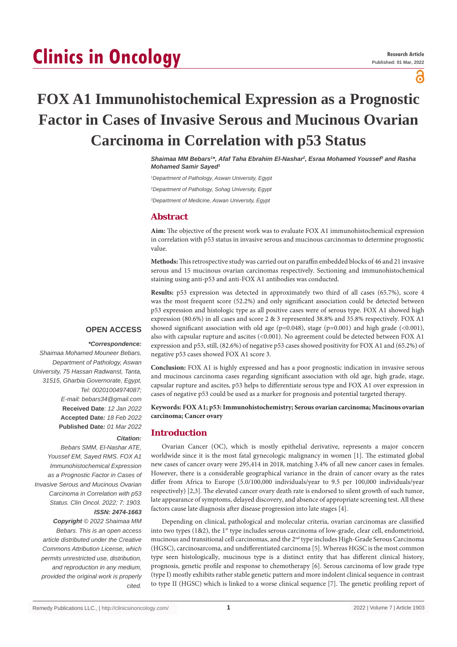# **Clinics in Oncology**

႙

## **FOX A1 Immunohistochemical Expression as a Prognostic Factor in Cases of Invasive Serous and Mucinous Ovarian Carcinoma in Correlation with p53 Status**

*Shaimaa MM Bebars1 \*, Afaf Taha Ebrahim El-Nashar2 , Esraa Mohamed Youssef3 and Rasha Mohamed Samir Sayed1*

*1 Department of Pathology, Aswan University, Egypt*

*2 Department of Pathology, Sohag University, Egypt*

*3 Department of Medicine, Aswan University, Egypt*

### **Abstract**

**Aim:** The objective of the present work was to evaluate FOX A1 immunohistochemical expression in correlation with p53 status in invasive serous and mucinous carcinomas to determine prognostic value.

**Methods:** This retrospective study was carried out on paraffin embedded blocks of 46 and 21 invasive serous and 15 mucinous ovarian carcinomas respectively. Sectioning and immunohistochemical staining using anti-p53 and anti-FOX A1 antibodies was conducted.

**Results:** p53 expression was detected in approximately two third of all cases (65.7%), score 4

was the most frequent score (52.2%) and only significant association could be detected between p53 expression and histologic type as all positive cases were of serous type. FOX A1 showed high expression (80.6%) in all cases and score 2 & 3 represented 38.8% and 35.8% respectively. FOX A1 showed significant association with old age ( $p=0.048$ ), stage ( $p=0.001$ ) and high grade (<0.001), also with capsular rupture and ascites (<0.001). No agreement could be detected between FOX A1 expression and p53, still, (82.6%) of negative p53 cases showed positivity for FOX A1 and (65.2%) of negative p53 cases showed FOX A1 score 3.

#### **OPEN ACCESS**

### *\*Correspondence:*

*Shaimaa Mohamed Mouneer Bebars, Department of Pathology, Aswan University, 75 Hassan Radwanst, Tanta, 31515, Gharbia Governorate, Egypt, Tel: 00201004974087; E-mail: bebars34@gmail.com* **Received Date**: *12 Jan 2022* **Accepted Date***: 18 Feb 2022* **Published Date***: 01 Mar 2022*

#### *Citation:*

*Bebars SMM, El-Nashar ATE, Youssef EM, Sayed RMS. FOX A1 Immunohistochemical Expression as a Prognostic Factor in Cases of Invasive Serous and Mucinous Ovarian Carcinoma in Correlation with p53 Status. Clin Oncol. 2022; 7: 1903. ISSN: 2474-1663*

*Copyright © 2022 Shaimaa MM Bebars. This is an open access article distributed under the Creative Commons Attribution License, which permits unrestricted use, distribution, and reproduction in any medium, provided the original work is properly cited.*

**Conclusion:** FOX A1 is highly expressed and has a poor prognostic indication in invasive serous and mucinous carcinoma cases regarding significant association with old age, high grade, stage, capsular rupture and ascites, p53 helps to differentiate serous type and FOX A1 over expression in cases of negative p53 could be used as a marker for prognosis and potential targeted therapy.

**Keywords: FOX A1; p53: Immunohistochemistry; Serous ovarian carcinoma; Mucinous ovarian carcinoma; Cancer ovary**

#### **Introduction**

Ovarian Cancer (OC), which is mostly epithelial derivative, represents a major concern worldwide since it is the most fatal gynecologic malignancy in women [1]. The estimated global new cases of cancer ovary were 295,414 in 2018, matching 3.4% of all new cancer cases in females. However, there is a considerable geographical variance in the drain of cancer ovary as the rates differ from Africa to Europe (5.0/100,000 individuals/year to 9.5 per 100,000 individuals/year respectively) [2,3]. The elevated cancer ovary death rate is endorsed to silent growth of such tumor, late appearance of symptoms, delayed discovery, and absence of appropriate screening test. All these factors cause late diagnosis after disease progression into late stages [4].

Depending on clinical, pathological and molecular criteria, ovarian carcinomas are classified into two types  $(1\&2)$ , the 1<sup>st</sup> type includes serous carcinoma of low-grade, clear cell, endometrioid, mucinous and transitional cell carcinomas, and the 2<sup>nd</sup> type includes High-Grade Serous Carcinoma (HGSC), carcinosarcoma, and undifferentiated carcinoma [5]. Whereas HGSC is the most common type seen histologically, mucinous type is a distinct entity that has different clinical history, prognosis, genetic profile and response to chemotherapy [6]. Serous carcinoma of low grade type (type I) mostly exhibits rather stable genetic pattern and more indolent clinical sequence in contrast to type II (HGSC) which is linked to a worse clinical sequence [7]. The genetic profiling report of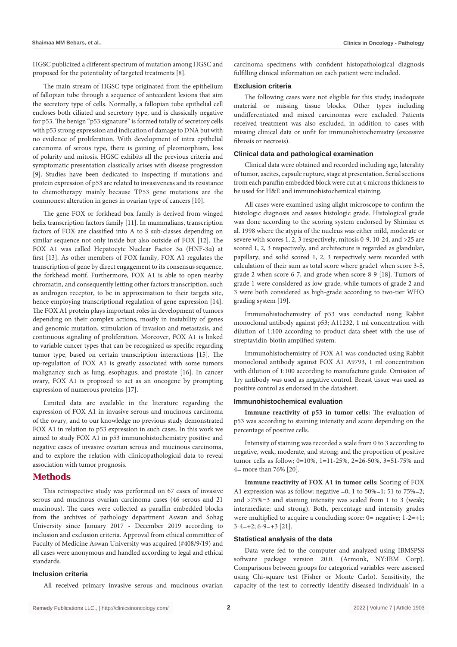HGSC publicized a different spectrum of mutation among HGSC and proposed for the potentiality of targeted treatments [8].

The main stream of HGSC type originated from the epithelium of fallopian tube through a sequence of antecedent lesions that aim the secretory type of cells. Normally, a fallopian tube epithelial cell encloses both ciliated and secretory type, and is classically negative for p53. The benign "p53 signature" is formed totally of secretory cells with p53 strong expression and indication of damage to DNA but with no evidence of proliferation. With development of intra epithelial carcinoma of serous type, there is gaining of pleomorphism, loss of polarity and mitosis. HGSC exhibits all the previous criteria and symptomatic presentation classically arises with disease progression [9]. Studies have been dedicated to inspecting if mutations and protein expression of p53 are related to invasiveness and its resistance to chemotherapy mainly because TP53 gene mutations are the commonest alteration in genes in ovarian type of cancers [10].

The gene FOX or forkhead box family is derived from winged helix transcription factors family [11]. In mammalians, transcription factors of FOX are classified into A to S sub-classes depending on similar sequence not only inside but also outside of FOX [12]. The FOX A1 was called Hepatocyte Nuclear Factor 3α (HNF-3α) at first [13]. As other members of FOX family, FOX A1 regulates the transcription of gene by direct engagement to its consensus sequence, the forkhead motif. Furthermore, FOX A1 is able to open nearby chromatin, and consequently letting other factors transcription, such as androgen receptor, to be in approximation to their targets site, hence employing transcriptional regulation of gene expression [14]. The FOX A1 protein plays important roles in development of tumors depending on their complex actions, mostly in instability of genes and genomic mutation, stimulation of invasion and metastasis, and continuous signaling of proliferation. Moreover, FOX A1 is linked to variable cancer types that can be recognized as specific regarding tumor type, based on certain transcription interactions [15]. The up-regulation of FOX A1 is greatly associated with some tumors malignancy such as lung, esophagus, and prostate [16]. In cancer ovary, FOX A1 is proposed to act as an oncogene by prompting expression of numerous proteins [17].

Limited data are available in the literature regarding the expression of FOX A1 in invasive serous and mucinous carcinoma of the ovary, and to our knowledge no previous study demonstrated FOX A1 in relation to p53 expression in such cases. In this work we aimed to study FOX A1 in p53 immunohistochemistry positive and negative cases of invasive ovarian serous and mucinous carcinoma, and to explore the relation with clinicopathological data to reveal association with tumor prognosis.

#### **Methods**

This retrospective study was performed on 67 cases of invasive serous and mucinous ovarian carcinoma cases (46 serous and 21 mucinous). The cases were collected as paraffin embedded blocks from the archives of pathology department Aswan and Sohag University since January 2017 - December 2019 according to inclusion and exclusion criteria. Approval from ethical committee of Faculty of Medicine Aswan University was acquired (#408/9/19) and all cases were anonymous and handled according to legal and ethical standards.

#### **Inclusion criteria**

All received primary invasive serous and mucinous ovarian

carcinoma specimens with confident histopathological diagnosis fulfilling clinical information on each patient were included.

#### **Exclusion criteria**

The following cases were not eligible for this study; inadequate material or missing tissue blocks. Other types including undifferentiated and mixed carcinomas were excluded. Patients received treatment was also excluded, in addition to cases with missing clinical data or unfit for immunohistochemistry (excessive fibrosis or necrosis).

#### **Clinical data and pathological examination**

Clinical data were obtained and recorded including age, laterality of tumor, ascites, capsule rupture, stage at presentation. Serial sections from each paraffin embedded block were cut at 4 microns thickness to be used for H&E and immunohistochemical staining.

All cases were examined using alight microscope to confirm the histologic diagnosis and assess histologic grade. Histological grade was done according to the scoring system endorsed by Shimizu et al. 1998 where the atypia of the nucleus was either mild, moderate or severe with scores 1, 2, 3 respectively, mitosis 0-9, 10-24, and >25 are scored 1, 2, 3 respectively, and architecture is regarded as glandular, papillary, and solid scored 1, 2, 3 respectively were recorded with calculation of their sum as total score where grade1 when score 3-5, grade 2 when score 6-7, and grade when score 8-9 [18]. Tumors of grade 1 were considered as low-grade, while tumors of grade 2 and 3 were both considered as high-grade according to two-tier WHO grading system [19].

Immunohistochemistry of p53 was conducted using Rabbit monoclonal antibody against p53; A11232, 1 ml concentration with dilution of 1:100 according to product data sheet with the use of streptavidin-biotin amplified system.

Immunohistochemistry of FOX A1 was conducted using Rabbit monoclonal antibody against FOX A1 A9793, 1 ml concentration with dilution of 1:100 according to manufacture guide. Omission of 1ry antibody was used as negative control. Breast tissue was used as positive control as endorsed in the datasheet.

#### **Immunohistochemical evaluation**

**Immune reactivity of p53 in tumor cells:** The evaluation of p53 was according to staining intensity and score depending on the percentage of positive cells.

Intensity of staining was recorded a scale from 0 to 3 according to negative, weak, moderate, and strong; and the proportion of positive tumor cells as follow; 0=10%, 1=11-25%, 2=26-50%, 3=51-75% and 4= more than 76% [20].

**Immune reactivity of FOX A1 in tumor cells:** Scoring of FOX A1 expression was as follow: negative =0; 1 to 50%=1; 51 to 75%=2; and >75%=3 and staining intensity was scaled from 1 to 3 (weak; intermediate; and strong). Both, percentage and intensity grades were multiplied to acquire a concluding score:  $0=$  negative;  $1-2=+1$ ;  $3-4=+2$ ;  $6-9=+3$  [21].

#### **Statistical analysis of the data**

Data were fed to the computer and analyzed using IBMSPSS software package version 20.0. (Armonk, NY:IBM Corp). Comparisons between groups for categorical variables were assessed using Chi-square test (Fisher or Monte Carlo). Sensitivity, the capacity of the test to correctly identify diseased individuals' in a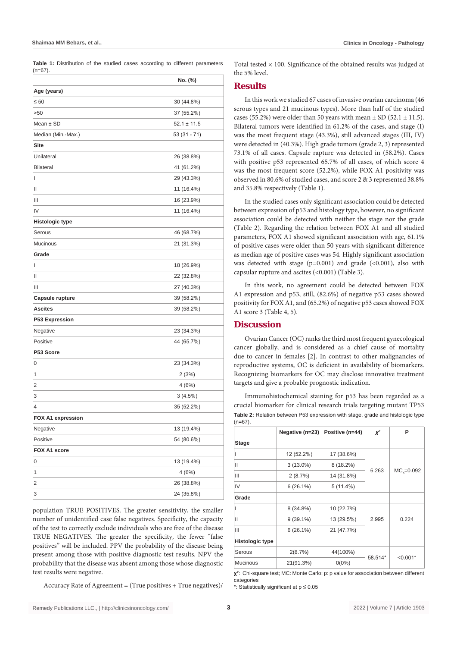**Table 1:** Distribution of the studied cases according to different parameters  $(n=67)$ .

| Age (years)<br>$\leq 50$ | 30 (44.8%)      |
|--------------------------|-----------------|
|                          |                 |
|                          |                 |
| >50                      | 37 (55.2%)      |
| Mean $\pm$ SD            | $52.1 \pm 11.5$ |
| Median (Min.-Max.)       | 53 (31 - 71)    |
| <b>Site</b>              |                 |
| Unilateral               | 26 (38.8%)      |
| <b>Bilateral</b>         | 41 (61.2%)      |
| I                        | 29 (43.3%)      |
| Ш                        | 11 (16.4%)      |
| Ш                        | 16 (23.9%)      |
| IV                       | 11 (16.4%)      |
| <b>Histologic type</b>   |                 |
| Serous                   | 46 (68.7%)      |
| Mucinous                 | 21 (31.3%)      |
| Grade                    |                 |
| I                        | 18 (26.9%)      |
| Ш                        | 22 (32.8%)      |
| Ш                        | 27 (40.3%)      |
| Capsule rupture          | 39 (58.2%)      |
| Ascites                  | 39 (58.2%)      |
| <b>P53 Expression</b>    |                 |
| Negative                 | 23 (34.3%)      |
| Positive                 | 44 (65.7%)      |
| P53 Score                |                 |
| 0                        | 23 (34.3%)      |
| 1                        | 2(3%)           |
| 2                        | 4(6%)           |
| 3                        | 3(4.5%)         |
| 4                        | 35 (52.2%)      |
| <b>FOX A1 expression</b> |                 |
| Negative                 | 13 (19.4%)      |
| Positive                 | 54 (80.6%)      |
| FOX A1 score             |                 |
| 0                        | 13 (19.4%)      |
| 1                        | 4(6%)           |
| 2                        | 26 (38.8%)      |
| 3                        | 24 (35.8%)      |

population TRUE POSITIVES. The greater sensitivity, the smaller number of unidentified case false negatives. Specificity, the capacity of the test to correctly exclude individuals who are free of the disease TRUE NEGATIVES. The greater the specificity, the fewer "false positives" will be included. PPV the probability of the disease being present among those with positive diagnostic test results. NPV the probability that the disease was absent among those whose diagnostic test results were negative.

Accuracy Rate of Agreement = (True positives + True negatives)/

Total tested  $\times$  100. Significance of the obtained results was judged at the 5% level.

#### **Results**

In this work we studied 67 cases of invasive ovarian carcinoma (46 serous types and 21 mucinous types). More than half of the studied cases (55.2%) were older than 50 years with mean  $\pm$  SD (52.1  $\pm$  11.5). Bilateral tumors were identified in 61.2% of the cases, and stage (I) was the most frequent stage (43.3%), still advanced stages (III, IV) were detected in (40.3%). High grade tumors (grade 2, 3) represented 73.1% of all cases. Capsule rapture was detected in (58.2%). Cases with positive p53 represented 65.7% of all cases, of which score 4 was the most frequent score (52.2%), while FOX A1 positivity was observed in 80.6% of studied cases, and score 2 & 3 represented 38.8% and 35.8% respectively (Table 1).

In the studied cases only significant association could be detected between expression of p53 and histology type, however, no significant association could be detected with neither the stage nor the grade (Table 2). Regarding the relation between FOX A1 and all studied parameters, FOX A1 showed significant association with age, 61.1% of positive cases were older than 50 years with significant difference as median age of positive cases was 54. Highly significant association was detected with stage ( $p=0.001$ ) and grade (<0.001), also with capsular rupture and ascites (<0.001) (Table 3).

In this work, no agreement could be detected between FOX A1 expression and p53, still, (82.6%) of negative p53 cases showed positivity for FOX A1, and (65.2%) of negative p53 cases showed FOX A1 score 3 (Table 4, 5).

#### **Discussion**

Ovarian Cancer (OC) ranks the third most frequent gynecological cancer globally, and is considered as a chief cause of mortality due to cancer in females [2]. In contrast to other malignancies of reproductive systems, OC is deficient in availability of biomarkers. Recognizing biomarkers for OC may disclose innovative treatment targets and give a probable prognostic indication.

Immunohistochemical staining for p53 has been regarded as a crucial biomarker for clinical research trials targeting mutant TP53 **Table 2:** Relation between P53 expression with stage, grade and histologic type  $(n=67)$ 

|                 | Negative (n=23) | Positive (n=44) | $X^2$   | P           |  |
|-----------------|-----------------|-----------------|---------|-------------|--|
| <b>Stage</b>    |                 |                 |         |             |  |
|                 | 12 (52.2%)      | 17 (38.6%)      |         | $MCn=0.092$ |  |
| Ш               | $3(13.0\%)$     | 8 (18.2%)       |         |             |  |
| Ш               | 2(8.7%)         | 14 (31.8%)      | 6.263   |             |  |
| IV              | $6(26.1\%)$     | $5(11.4\%)$     |         |             |  |
| Grade           |                 |                 |         |             |  |
| ı               | 8 (34.8%)       | 10 (22.7%)      |         | 0.224       |  |
| Ш               | $9(39.1\%)$     | 13 (29.5%)      | 2.995   |             |  |
| Ш               | $6(26.1\%)$     | 21 (47.7%)      |         |             |  |
| Histologic type |                 |                 |         |             |  |
| Serous          | 2(8.7%)         | 44(100%)        | 58.514* | $< 0.001*$  |  |
| <b>Mucinous</b> | 21(91.3%)       | $0(0\%)$        |         |             |  |

**χ2** : Chi-square test; MC: Monte Carlo; p: p value for association between different categories

\*: Statistically significant at p ≤ 0.05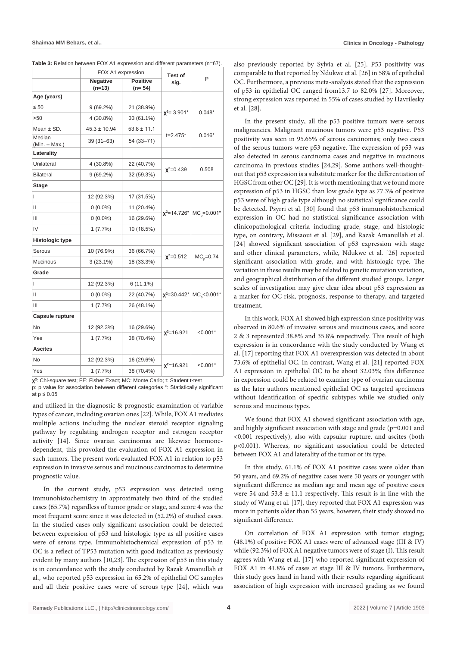|                             |                             |                   | P                                                                                                                                                              |  |
|-----------------------------|-----------------------------|-------------------|----------------------------------------------------------------------------------------------------------------------------------------------------------------|--|
| <b>Negative</b><br>$(n=13)$ | <b>Positive</b><br>$(n=54)$ | sig.              |                                                                                                                                                                |  |
|                             |                             |                   |                                                                                                                                                                |  |
| $9(69.2\%)$                 | 21 (38.9%)                  |                   | $0.048*$                                                                                                                                                       |  |
| 4 (30.8%)                   | 33 (61.1%)                  |                   |                                                                                                                                                                |  |
| $45.3 \pm 10.94$            | $53.8 \pm 11.1$             |                   | $0.016*$                                                                                                                                                       |  |
| $39(31 - 63)$               | 54 (33-71)                  |                   |                                                                                                                                                                |  |
|                             |                             |                   |                                                                                                                                                                |  |
| 4 (30.8%)                   | 22 (40.7%)                  |                   | 0.508                                                                                                                                                          |  |
| 9(69.2%)                    | 32 (59.3%)                  |                   |                                                                                                                                                                |  |
|                             |                             |                   |                                                                                                                                                                |  |
| 12 (92.3%)                  | 17 (31.5%)                  |                   |                                                                                                                                                                |  |
| $0(0.0\%)$                  | 11 (20.4%)                  |                   |                                                                                                                                                                |  |
| $0(0.0\%)$                  | 16 (29.6%)                  |                   |                                                                                                                                                                |  |
| 1(7.7%)                     | 10 (18.5%)                  |                   |                                                                                                                                                                |  |
|                             |                             |                   |                                                                                                                                                                |  |
| 10 (76.9%)                  | 36 (66.7%)                  |                   |                                                                                                                                                                |  |
| $3(23.1\%)$                 | 18 (33.3%)                  |                   | $MC0=0.74$                                                                                                                                                     |  |
|                             |                             |                   |                                                                                                                                                                |  |
| 12 (92.3%)                  | $6(11.1\%)$                 |                   | $\chi^2$ =30.442* MC <sub>o</sub> < 0.001*                                                                                                                     |  |
| $0(0.0\%)$                  | 22 (40.7%)                  |                   |                                                                                                                                                                |  |
| 1(7.7%)                     | 26 (48.1%)                  |                   |                                                                                                                                                                |  |
|                             |                             |                   |                                                                                                                                                                |  |
| 12 (92.3%)                  | 16 (29.6%)                  |                   |                                                                                                                                                                |  |
| 1(7.7%)                     | 38 (70.4%)                  |                   | $< 0.001*$                                                                                                                                                     |  |
|                             |                             |                   |                                                                                                                                                                |  |
| 12 (92.3%)                  | 16 (29.6%)                  |                   |                                                                                                                                                                |  |
| 1(7.7%)                     | 38 (70.4%)                  |                   | $< 0.001*$                                                                                                                                                     |  |
|                             |                             | FOX A1 expression | <b>Test of</b><br>$x^2$ = 3.901*<br>$t = 2.475*$<br>$x^2=0.439$<br>$X^2 = 14.726^*$ MC <sub>0</sub> =0.001*<br>$x^2=0.512$<br>$x^2 = 16.921$<br>$x^2 = 16.921$ |  |

| Table 3: Relation between FOX A1 expression and different parameters (n=67). |  |  |  |
|------------------------------------------------------------------------------|--|--|--|
|                                                                              |  |  |  |

**χ2** : Chi-square test; FE: Fisher Exact; MC: Monte Carlo; t: Student t-test p: p value for association between different categories \*: Statistically significant at p ≤ 0.05

and utilized in the diagnostic & prognostic examination of variable types of cancer, including ovarian ones [22]. While, FOX A1 mediates multiple actions including the nuclear steroid receptor signaling pathway by regulating androgen receptor and estrogen receptor activity [14]. Since ovarian carcinomas are likewise hormonedependent, this provoked the evaluation of FOX A1 expression in such tumors. The present work evaluated FOX A1 in relation to p53 expression in invasive serous and mucinous carcinomas to determine prognostic value.

In the current study, p53 expression was detected using immunohistochemistry in approximately two third of the studied cases (65.7%) regardless of tumor grade or stage, and score 4 was the most frequent score since it was detected in (52.2%) of studied cases. In the studied cases only significant association could be detected between expression of p53 and histologic type as all positive cases were of serous type. Immunohistochemical expression of p53 in OC is a reflect of TP53 mutation with good indication as previously evident by many authors [10,23]. The expression of p53 in this study is in concordance with the study conducted by Razak Amanullah et al., who reported p53 expression in 65.2% of epithelial OC samples and all their positive cases were of serous type [24], which was also previously reported by Sylvia et al. [25]. P53 positivity was comparable to that reported by Ndukwe et al. [26] in 58% of epithelial OC. Furthermore, a previous meta-analysis stated that the expression of p53 in epithelial OC ranged from13.7 to 82.0% [27]. Moreover, strong expression was reported in 55% of cases studied by Havrilesky et al. [28].

In the present study, all the p53 positive tumors were serous malignancies. Malignant mucinous tumors were p53 negative. P53 positivity was seen in 95.65% of serous carcinomas; only two cases of the serous tumors were p53 negative. The expression of p53 was also detected in serous carcinoma cases and negative in mucinous carcinoma in previous studies [24,29]. Some authors well-thoughtout that p53 expression is a substitute marker for the differentiation of HGSC from other OC [29]. It is worth mentioning that we found more expression of p53 in HGSC than low grade type as 77.3% of positive p53 were of high grade type although no statistical significance could be detected. Psyrri et al. [30] found that p53 immunohistochemical expression in OC had no statistical significance association with clinicopathological criteria including grade, stage, and histologic type, on contrary, Missaoui et al. [29], and Razak Amanullah et al. [24] showed significant association of p53 expression with stage and other clinical parameters, while, Ndukwe et al. [26] reported significant association with grade, and with histologic type. The variation in these results may be related to genetic mutation variation, and geographical distribution of the different studied groups. Larger scales of investigation may give clear idea about p53 expression as a marker for OC risk, prognosis, response to therapy, and targeted treatment.

In this work, FOX A1 showed high expression since positivity was observed in 80.6% of invasive serous and mucinous cases, and score 2 & 3 represented 38.8% and 35.8% respectively. This result of high expression is in concordance with the study conducted by Wang et al. [17] reporting that FOX A1 overexpression was detected in about 73.6% of epithelial OC. In contrast, Wang et al. [21] reported FOX A1 expression in epithelial OC to be about 32.03%; this difference in expression could be related to examine type of ovarian carcinoma as the later authors mentioned epithelial OC as targeted specimens without identification of specific subtypes while we studied only serous and mucinous types.

We found that FOX A1 showed significant association with age, and highly significant association with stage and grade (p=0.001 and <0.001 respectively), also with capsular rupture, and ascites (both p<0.001). Whereas, no significant association could be detected between FOX A1 and laterality of the tumor or its type.

In this study, 61.1% of FOX A1 positive cases were older than 50 years, and 69.2% of negative cases were 50 years or younger with significant difference as median age and mean age of positive cases were 54 and 53.8  $\pm$  11.1 respectively. This result is in line with the study of Wang et al. [17], they reported that FOX A1 expression was more in patients older than 55 years, however, their study showed no significant difference.

On correlation of FOX A1 expression with tumor staging; (48.1%) of positive FOX A1 cases were of advanced stage (III & IV) while (92.3%) of FOX A1 negative tumors were of stage (I). This result agrees with Wang et al. [17] who reported significant expression of FOX A1 in 41.8% of cases at stage III & IV tumors. Furthermore, this study goes hand in hand with their results regarding significant association of high expression with increased grading as we found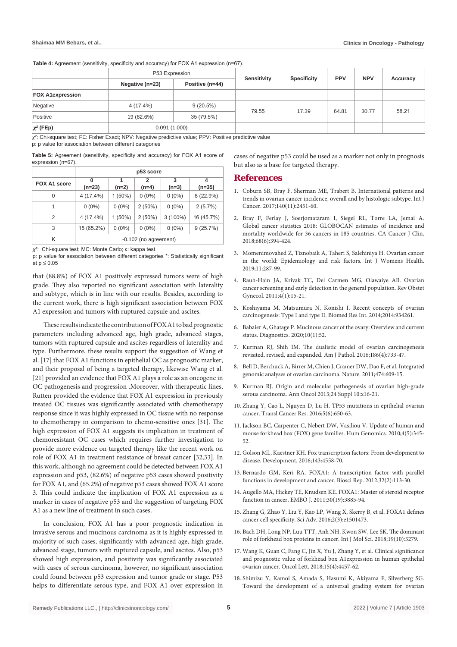Table 4: Agreement (sensitivity, specificity and accuracy) for FOX A1 expression (n=67).

|                         | P53 Expression  |                 | Sensitivity | <b>Specificity</b> | <b>PPV</b> | <b>NPV</b> | Accuracy |
|-------------------------|-----------------|-----------------|-------------|--------------------|------------|------------|----------|
|                         | Negative (n=23) | Positive (n=44) |             |                    |            |            |          |
| <b>FOX A1expression</b> |                 |                 |             |                    |            |            |          |
| Negative                | 4 (17.4%)       | 9(20.5%)        | 79.55       | 17.39              | 64.81      | 30.77      | 58.21    |
| Positive                | 19 (82.6%)      | 35 (79.5%)      |             |                    |            |            |          |
| $\chi^2$ (FEp)          | 0.091(1.000)    |                 |             |                    |            |            |          |

*χ2* : Chi-square test; FE: Fisher Exact; NPV: Negative predictive value; PPV: Positive predictive value

p: p value for association between different categories

| <b>Table 5:</b> Agreement (sensitivity, specificity and accuracy) for FOX A1 score of |  |  |  |  |
|---------------------------------------------------------------------------------------|--|--|--|--|
| expression (n=67).                                                                    |  |  |  |  |

|                     | p53 score                                                                      |           |           |            |            |  |  |
|---------------------|--------------------------------------------------------------------------------|-----------|-----------|------------|------------|--|--|
| <b>FOX A1 score</b> | 4<br>2<br>3<br>1<br>0<br>$(n=23)$<br>$(n=35)$<br>$(n=2)$<br>$(n=4)$<br>$(n=3)$ |           |           |            |            |  |  |
| 0                   | 4 (17.4%)                                                                      | $1(50\%)$ | $0(0\%)$  | $0(0\%)$   | 8 (22.9%)  |  |  |
| 1                   | $0(0\%)$                                                                       | $0(0\%)$  | $2(50\%)$ | $0(0\%)$   | 2(5.7%)    |  |  |
| 2                   | 4 (17.4%)                                                                      | $1(50\%)$ | $2(50\%)$ | $3(100\%)$ | 16 (45.7%) |  |  |
| 3                   | 15 (65.2%)                                                                     | $0(0\%)$  | $0(0\%)$  | $0(0\%)$   | 9(25.7%)   |  |  |
| K                   | -0.102 (no agreement)                                                          |           |           |            |            |  |  |

*χ2* : Chi-square test; MC: Monte Carlo; κ: kappa test

p: p value for association between different categories \*: Statistically significant at p ≤ 0.05

that (88.8%) of FOX A1 positively expressed tumors were of high grade. They also reported no significant association with laterality and subtype, which is in line with our results. Besides, according to the current work, there is high significant association between FOX A1 expression and tumors with ruptured capsule and ascites.

These results indicate the contribution of FOX A1 to bad prognostic parameters including advanced age, high grade, advanced stages, tumors with ruptured capsule and ascites regardless of laterality and type. Furthermore, these results support the suggestion of Wang et al. [17] that FOX A1 functions in epithelial OC as prognostic marker, and their proposal of being a targeted therapy, likewise Wang et al. [21] provided an evidence that FOX A1 plays a role as an oncogene in OC pathogenesis and progression .Moreover, with therapeutic lines, Rutten provided the evidence that FOX A1 expression in previously treated OC tissues was significantly associated with chemotherapy response since it was highly expressed in OC tissue with no response to chemotherapy in comparison to chemo-sensitive ones [31]. The high expression of FOX A1 suggests its implication in treatment of chemoresistant OC cases which requires further investigation to provide more evidence on targeted therapy like the recent work on role of FOX A1 in treatment resistance of breast cancer [32,33]. In this work, although no agreement could be detected between FOX A1 expression and p53, (82.6%) of negative p53 cases showed positivity for FOX A1, and (65.2%) of negative p53 cases showed FOX A1 score 3. This could indicate the implication of FOX A1 expression as a marker in cases of negative p53 and the suggestion of targeting FOX A1 as a new line of treatment in such cases.

In conclusion, FOX A1 has a poor prognostic indication in invasive serous and mucinous carcinoma as it is highly expressed in majority of such cases, significantly with advanced age, high grade, advanced stage, tumors with ruptured capsule, and ascites. Also, p53 showed high expression, and positivity was significantly associated with cases of serous carcinoma, however, no significant association could found between p53 expression and tumor grade or stage. P53 helps to differentiate serous type, and FOX A1 over expression in cases of negative p53 could be used as a marker not only in prognosis but also as a base for targeted therapy.

#### **References**

- 1. [Coburn SB, Bray F, Sherman ME, Trabert B. International patterns and](https://pubmed.ncbi.nlm.nih.gov/28257597/)  [trends in ovarian cancer incidence, overall and by histologic subtype. Int J](https://pubmed.ncbi.nlm.nih.gov/28257597/)  [Cancer. 2017;140\(11\):2451-60.](https://pubmed.ncbi.nlm.nih.gov/28257597/)
- 2. Bray F, Ferlay J, Soerjomataram I, Siegel RL, Torre LA, Jemal A. Global cancer statistics 2018: GLOBOCAN estimates of incidence and mortality worldwide for 36 cancers in 185 countries. CA Cancer J Clin. 2018;68(6):394-424.
- 3. [Momenimovahed Z, Tiznobaik A, Taheri S, Salehiniya H. Ovarian cancer](https://pubmed.ncbi.nlm.nih.gov/31118829/)  [in the world: Epidemiology and risk factors. Int J Womens Health.](https://pubmed.ncbi.nlm.nih.gov/31118829/)  [2019;11:287-99.](https://pubmed.ncbi.nlm.nih.gov/31118829/)
- 4. [Rauh-Hain JA, Krivak TC, Del Carmen MG, Olawaiye AB. Ovarian](https://pubmed.ncbi.nlm.nih.gov/21629494/)  [cancer screening and early detection in the general population. Rev Obstet](https://pubmed.ncbi.nlm.nih.gov/21629494/)  [Gynecol. 2011;4\(1\):15-21.](https://pubmed.ncbi.nlm.nih.gov/21629494/)
- 5. [Koshiyama M, Matsumura N, Konishi I. Recent concepts of ovarian](https://pubmed.ncbi.nlm.nih.gov/24868556/)  [carcinogenesis: Type I and type II. Biomed Res Int. 2014;2014:934261.](https://pubmed.ncbi.nlm.nih.gov/24868556/)
- 6. [Babaier A, Ghatage P. Mucinous cancer of the ovary: Overview and current](https://pubmed.ncbi.nlm.nih.gov/31963927/)  [status. Diagnostics. 2020;10\(1\):52.](https://pubmed.ncbi.nlm.nih.gov/31963927/)
- 7. [Kurman RJ, Shih IM. The dualistic model of ovarian carcinogenesis](https://pubmed.ncbi.nlm.nih.gov/27012190/)  [revisited, revised, and expanded. Am J Pathol. 2016;186\(4\):733-47.](https://pubmed.ncbi.nlm.nih.gov/27012190/)
- 8. [Bell D, Berchuck A, Birrer M, Chien J, Cramer DW, Dao F, et al. Integrated](https://pubmed.ncbi.nlm.nih.gov/21720365/)  [genomic analyses of ovarian carcinoma. Nature. 2011;474:609-15.](https://pubmed.ncbi.nlm.nih.gov/21720365/)
- 9. [Kurman RJ. Origin and molecular pathogenesis of ovarian high-grade](https://pubmed.ncbi.nlm.nih.gov/24265397/)  [serous carcinoma. Ann Oncol 2013;24 Suppl 10:x16-21.](https://pubmed.ncbi.nlm.nih.gov/24265397/)
- 10. [Zhang Y, Cao L, Nguyen D, Lu H. TP53 mutations in epithelial ovarian](https://pubmed.ncbi.nlm.nih.gov/30613473/)  [cancer. Transl Cancer Res. 2016;5\(6\):650-63.](https://pubmed.ncbi.nlm.nih.gov/30613473/)
- 11. [Jackson BC, Carpenter C, Nebert DW, Vasiliou V. Update of human and](https://pubmed.ncbi.nlm.nih.gov/20650821/)  [mouse forkhead box \(FOX\) gene families. Hum Genomics. 2010;4\(5\):345-](https://pubmed.ncbi.nlm.nih.gov/20650821/) [52.](https://pubmed.ncbi.nlm.nih.gov/20650821/)
- 12. [Golson ML, Kaestner KH. Fox transcription factors: From development to](https://pubmed.ncbi.nlm.nih.gov/27965437/)  [disease. Development. 2016;143:4558-70.](https://pubmed.ncbi.nlm.nih.gov/27965437/)
- 13. [Bernardo GM, Keri RA. FOXA1: A transcription factor with parallel](https://pubmed.ncbi.nlm.nih.gov/22115363/)  [functions in development and cancer. Biosci Rep. 2012;32\(2\):113-30.](https://pubmed.ncbi.nlm.nih.gov/22115363/)
- 14. [Augello MA, Hickey TE, Knudsen KE. FOXA1: Master of steroid receptor](https://pubmed.ncbi.nlm.nih.gov/21934649/)  [function in cancer. EMBO J. 2011;30\(19\):3885-94.](https://pubmed.ncbi.nlm.nih.gov/21934649/)
- 15. [Zhang G, Zhao Y, Liu Y, Kao LP, Wang X, Skerry B, et al. FOXA1 defines](https://pubmed.ncbi.nlm.nih.gov/27034986/)  [cancer cell specificity. Sci Adv. 2016;2\(3\):e1501473.](https://pubmed.ncbi.nlm.nih.gov/27034986/)
- 16. [Bach DH, Long NP, Luu TTT, Anh NH, Kwon SW, Lee SK. The dominant](https://pubmed.ncbi.nlm.nih.gov/30360388/)  [role of forkhead box proteins in cancer. Int J Mol Sci. 2018;19\(10\):3279.](https://pubmed.ncbi.nlm.nih.gov/30360388/)
- 17. [Wang K, Guan C, Fang C, Jin X, Yu J, Zhang Y, et al. Clinical significance](https://pubmed.ncbi.nlm.nih.gov/29541214/)  [and prognostic value of forkhead box A1expression in human epithelial](https://pubmed.ncbi.nlm.nih.gov/29541214/)  [ovarian cancer. Oncol Lett. 2018;15\(4\):4457-62.](https://pubmed.ncbi.nlm.nih.gov/29541214/)
- 18. [Shimizu Y, Kamoi S, Amada S, Hasumi K, Akiyama F, Silverberg SG.](https://pubmed.ncbi.nlm.nih.gov/9698465/)  [Toward the development of a universal grading system for ovarian](https://pubmed.ncbi.nlm.nih.gov/9698465/)